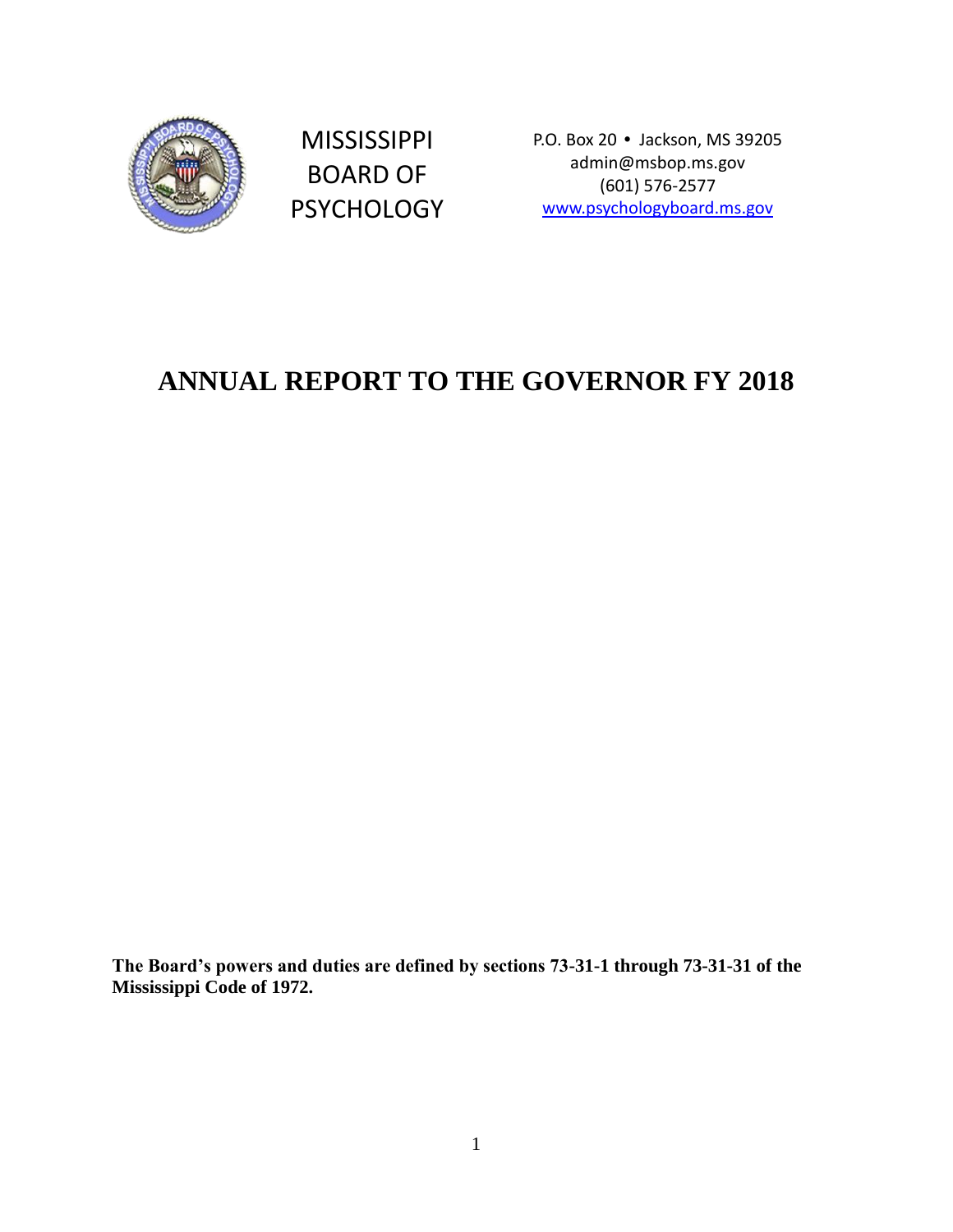

MISSISSIPPI BOARD OF PSYCHOLOGY P.O. Box 20 • Jackson, MS 39205 admin@msbop.ms.gov (601) 576-2577 [www.psychologyboard.ms.gov](http://www.psychologyboard.ms.gov/)

# **ANNUAL REPORT TO THE GOVERNOR FY 2018**

**The Board's powers and duties are defined by sections 73-31-1 through 73-31-31 of the Mississippi Code of 1972.**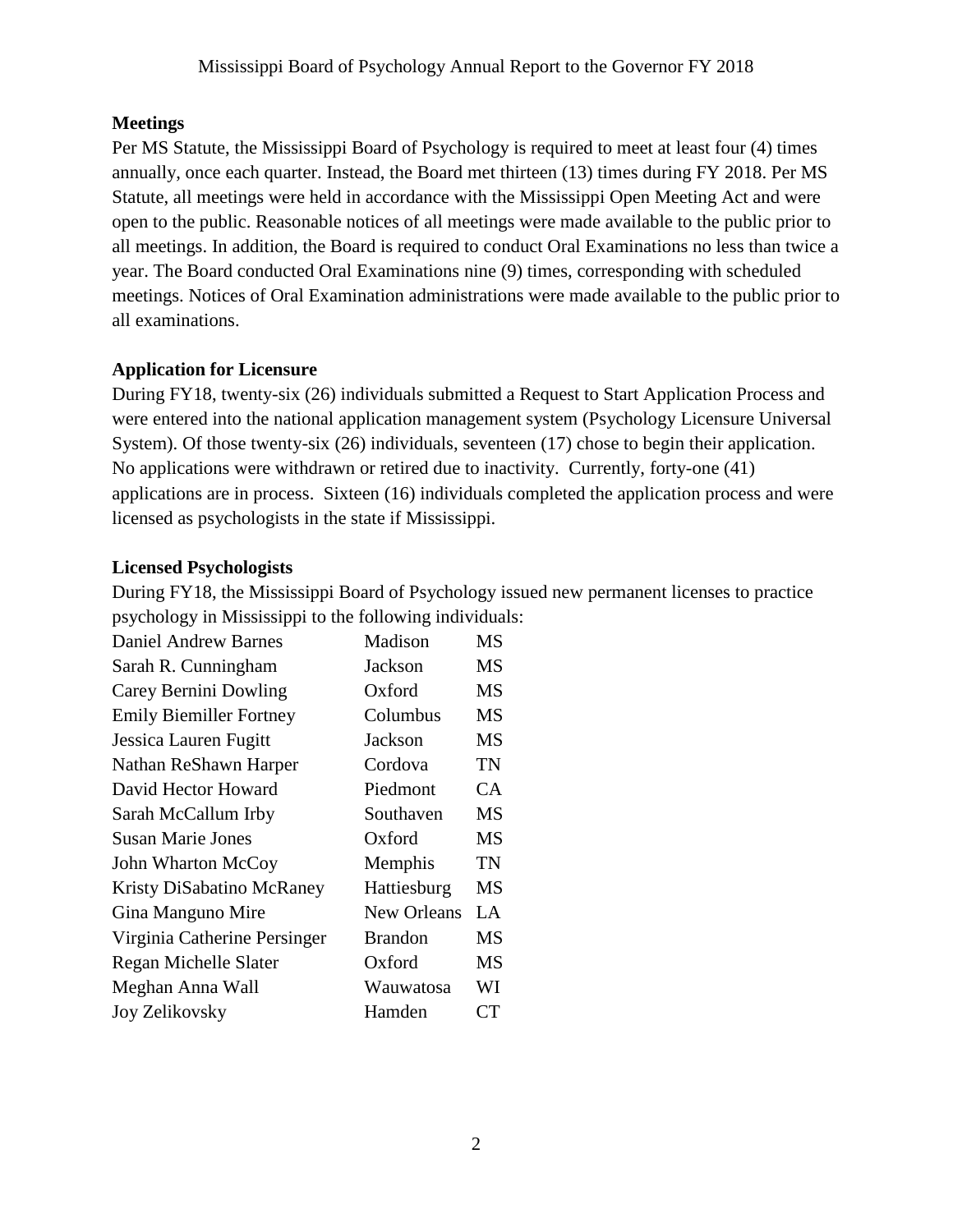### **Meetings**

Per MS Statute, the Mississippi Board of Psychology is required to meet at least four (4) times annually, once each quarter. Instead, the Board met thirteen (13) times during FY 2018. Per MS Statute, all meetings were held in accordance with the Mississippi Open Meeting Act and were open to the public. Reasonable notices of all meetings were made available to the public prior to all meetings. In addition, the Board is required to conduct Oral Examinations no less than twice a year. The Board conducted Oral Examinations nine (9) times, corresponding with scheduled meetings. Notices of Oral Examination administrations were made available to the public prior to all examinations.

### **Application for Licensure**

During FY18, twenty-six (26) individuals submitted a Request to Start Application Process and were entered into the national application management system (Psychology Licensure Universal System). Of those twenty-six (26) individuals, seventeen (17) chose to begin their application. No applications were withdrawn or retired due to inactivity. Currently, forty-one (41) applications are in process. Sixteen (16) individuals completed the application process and were licensed as psychologists in the state if Mississippi.

#### **Licensed Psychologists**

During FY18, the Mississippi Board of Psychology issued new permanent licenses to practice psychology in Mississippi to the following individuals:

| Daniel Andrew Barnes           | Madison            | MS        |
|--------------------------------|--------------------|-----------|
| Sarah R. Cunningham            | Jackson            | <b>MS</b> |
| Carey Bernini Dowling          | Oxford             | <b>MS</b> |
| <b>Emily Biemiller Fortney</b> | Columbus           | <b>MS</b> |
| Jessica Lauren Fugitt          | Jackson            | <b>MS</b> |
| Nathan ReShawn Harper          | Cordova            | <b>TN</b> |
| David Hector Howard            | Piedmont           | CA        |
| Sarah McCallum Irby            | Southaven          | <b>MS</b> |
| <b>Susan Marie Jones</b>       | Oxford             | <b>MS</b> |
| John Wharton McCoy             | Memphis            | TN        |
| Kristy DiSabatino McRaney      | Hattiesburg        | <b>MS</b> |
| Gina Manguno Mire              | <b>New Orleans</b> | LA        |
| Virginia Catherine Persinger   | <b>Brandon</b>     | MS        |
| Regan Michelle Slater          | Oxford             | <b>MS</b> |
| Meghan Anna Wall               | Wauwatosa          | WI        |
| Joy Zelikovsky                 | Hamden             | CT        |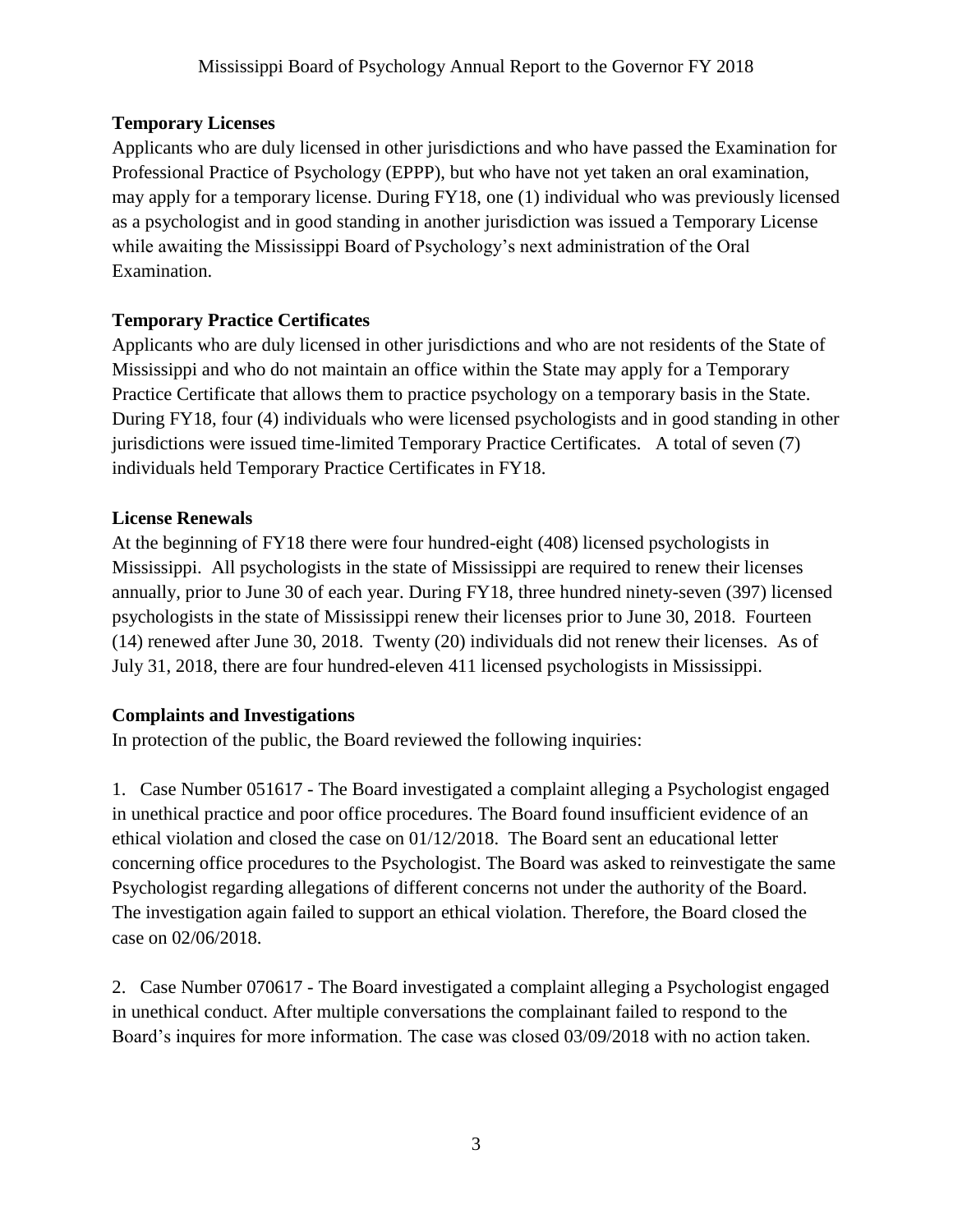### **Temporary Licenses**

Applicants who are duly licensed in other jurisdictions and who have passed the Examination for Professional Practice of Psychology (EPPP), but who have not yet taken an oral examination, may apply for a temporary license. During FY18, one (1) individual who was previously licensed as a psychologist and in good standing in another jurisdiction was issued a Temporary License while awaiting the Mississippi Board of Psychology's next administration of the Oral Examination.

### **Temporary Practice Certificates**

Applicants who are duly licensed in other jurisdictions and who are not residents of the State of Mississippi and who do not maintain an office within the State may apply for a Temporary Practice Certificate that allows them to practice psychology on a temporary basis in the State. During FY18, four (4) individuals who were licensed psychologists and in good standing in other jurisdictions were issued time-limited Temporary Practice Certificates. A total of seven (7) individuals held Temporary Practice Certificates in FY18.

### **License Renewals**

At the beginning of FY18 there were four hundred-eight (408) licensed psychologists in Mississippi. All psychologists in the state of Mississippi are required to renew their licenses annually, prior to June 30 of each year. During FY18, three hundred ninety-seven (397) licensed psychologists in the state of Mississippi renew their licenses prior to June 30, 2018. Fourteen (14) renewed after June 30, 2018. Twenty (20) individuals did not renew their licenses. As of July 31, 2018, there are four hundred-eleven 411 licensed psychologists in Mississippi.

### **Complaints and Investigations**

In protection of the public, the Board reviewed the following inquiries:

1. Case Number 051617 - The Board investigated a complaint alleging a Psychologist engaged in unethical practice and poor office procedures. The Board found insufficient evidence of an ethical violation and closed the case on 01/12/2018. The Board sent an educational letter concerning office procedures to the Psychologist. The Board was asked to reinvestigate the same Psychologist regarding allegations of different concerns not under the authority of the Board. The investigation again failed to support an ethical violation. Therefore, the Board closed the case on 02/06/2018.

2. Case Number 070617 - The Board investigated a complaint alleging a Psychologist engaged in unethical conduct. After multiple conversations the complainant failed to respond to the Board's inquires for more information. The case was closed 03/09/2018 with no action taken.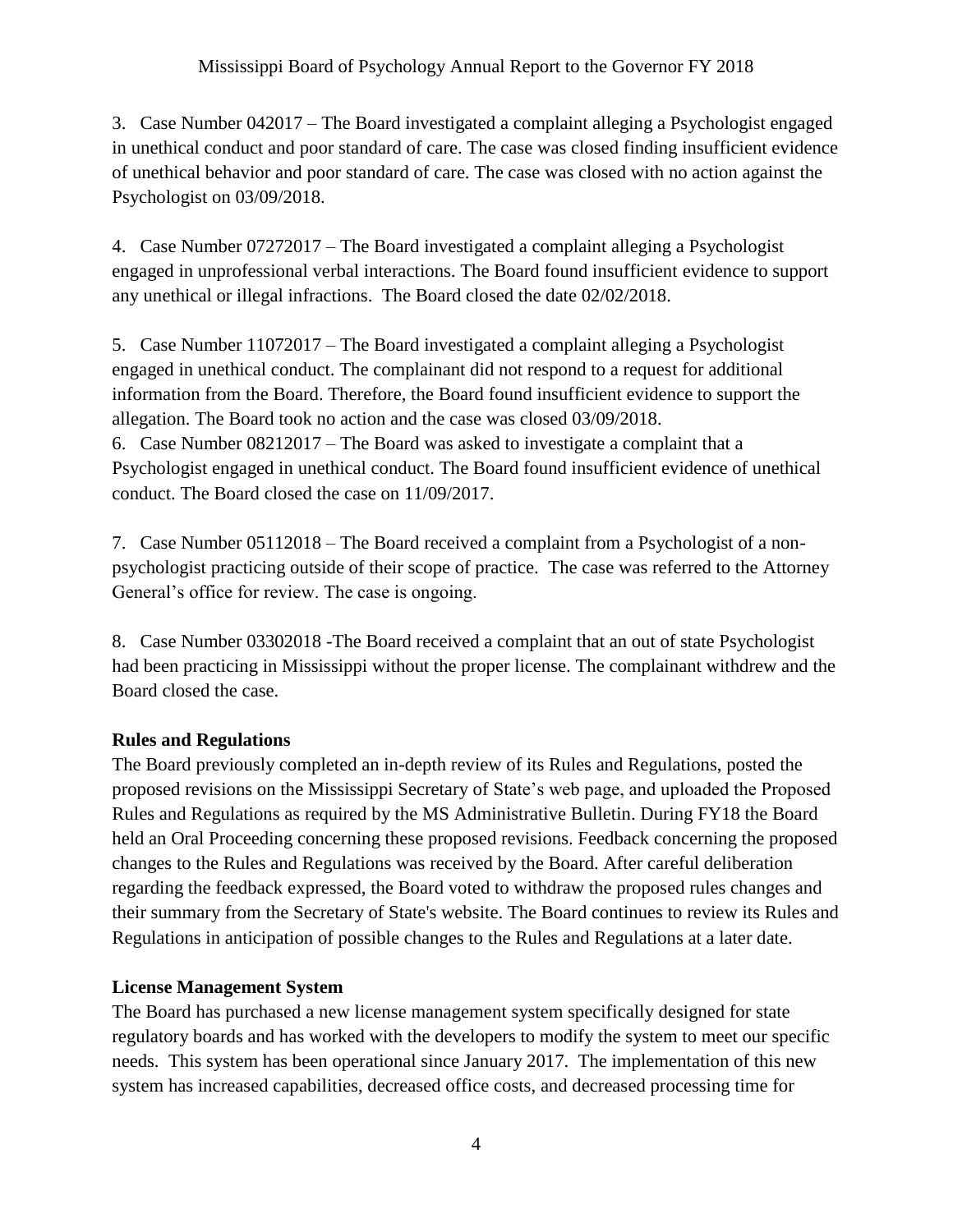3. Case Number 042017 – The Board investigated a complaint alleging a Psychologist engaged in unethical conduct and poor standard of care. The case was closed finding insufficient evidence of unethical behavior and poor standard of care. The case was closed with no action against the Psychologist on 03/09/2018.

4. Case Number 07272017 – The Board investigated a complaint alleging a Psychologist engaged in unprofessional verbal interactions. The Board found insufficient evidence to support any unethical or illegal infractions. The Board closed the date 02/02/2018.

5. Case Number 11072017 – The Board investigated a complaint alleging a Psychologist engaged in unethical conduct. The complainant did not respond to a request for additional information from the Board. Therefore, the Board found insufficient evidence to support the allegation. The Board took no action and the case was closed 03/09/2018. 6. Case Number 08212017 – The Board was asked to investigate a complaint that a Psychologist engaged in unethical conduct. The Board found insufficient evidence of unethical conduct. The Board closed the case on 11/09/2017.

7. Case Number 05112018 – The Board received a complaint from a Psychologist of a nonpsychologist practicing outside of their scope of practice. The case was referred to the Attorney General's office for review. The case is ongoing.

8. Case Number 03302018 -The Board received a complaint that an out of state Psychologist had been practicing in Mississippi without the proper license. The complainant withdrew and the Board closed the case.

### **Rules and Regulations**

The Board previously completed an in-depth review of its Rules and Regulations, posted the proposed revisions on the Mississippi Secretary of State's web page, and uploaded the Proposed Rules and Regulations as required by the MS Administrative Bulletin. During FY18 the Board held an Oral Proceeding concerning these proposed revisions. Feedback concerning the proposed changes to the Rules and Regulations was received by the Board. After careful deliberation regarding the feedback expressed, the Board voted to withdraw the proposed rules changes and their summary from the Secretary of State's website. The Board continues to review its Rules and Regulations in anticipation of possible changes to the Rules and Regulations at a later date.

### **License Management System**

The Board has purchased a new license management system specifically designed for state regulatory boards and has worked with the developers to modify the system to meet our specific needs. This system has been operational since January 2017. The implementation of this new system has increased capabilities, decreased office costs, and decreased processing time for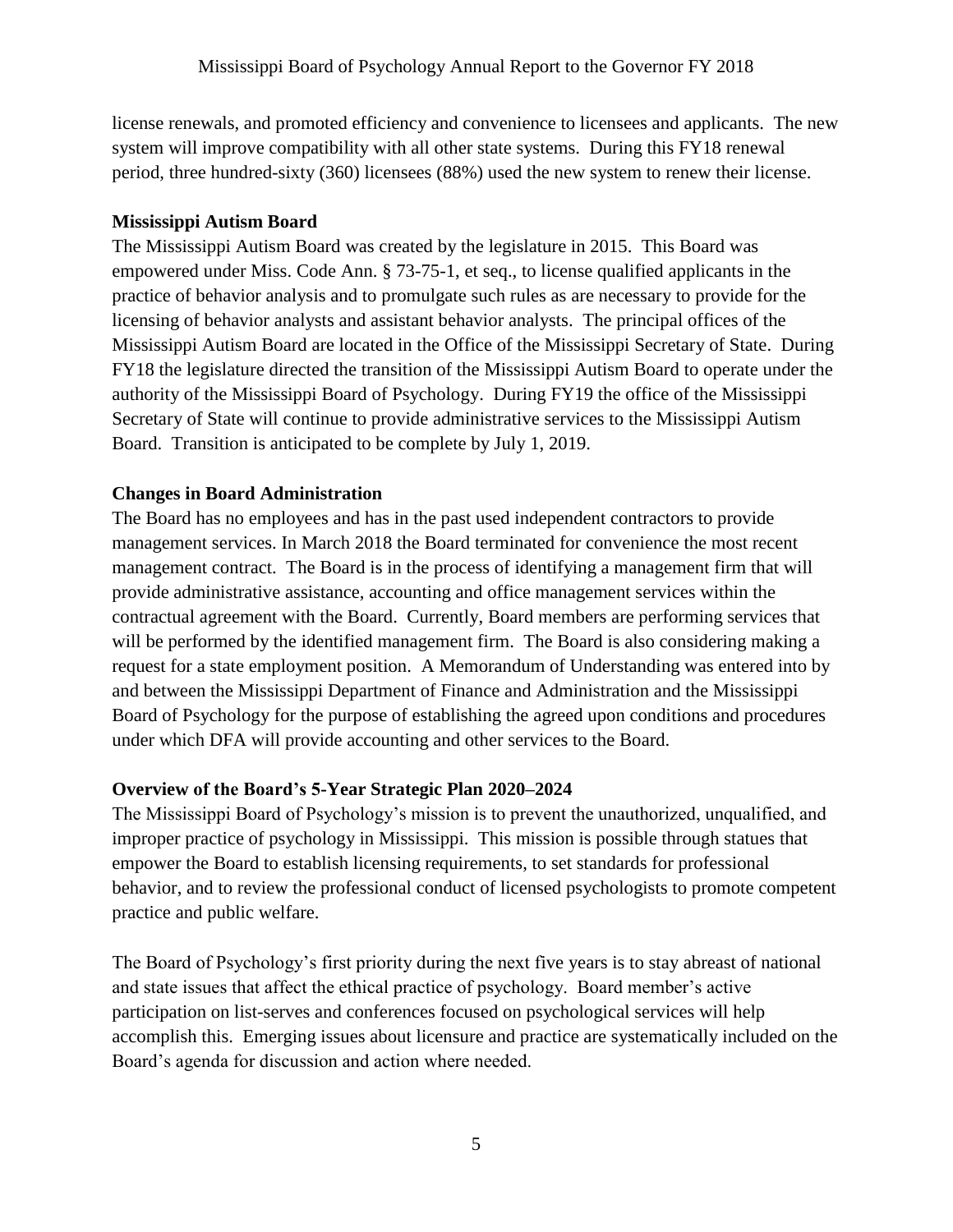license renewals, and promoted efficiency and convenience to licensees and applicants. The new system will improve compatibility with all other state systems. During this FY18 renewal period, three hundred-sixty (360) licensees (88%) used the new system to renew their license.

#### **Mississippi Autism Board**

The Mississippi Autism Board was created by the legislature in 2015. This Board was empowered under Miss. Code Ann. § 73-75-1, et seq., to license qualified applicants in the practice of behavior analysis and to promulgate such rules as are necessary to provide for the licensing of behavior analysts and assistant behavior analysts. The principal offices of the Mississippi Autism Board are located in the Office of the Mississippi Secretary of State. During FY18 the legislature directed the transition of the Mississippi Autism Board to operate under the authority of the Mississippi Board of Psychology. During FY19 the office of the Mississippi Secretary of State will continue to provide administrative services to the Mississippi Autism Board. Transition is anticipated to be complete by July 1, 2019.

### **Changes in Board Administration**

The Board has no employees and has in the past used independent contractors to provide management services. In March 2018 the Board terminated for convenience the most recent management contract. The Board is in the process of identifying a management firm that will provide administrative assistance, accounting and office management services within the contractual agreement with the Board. Currently, Board members are performing services that will be performed by the identified management firm. The Board is also considering making a request for a state employment position. A Memorandum of Understanding was entered into by and between the Mississippi Department of Finance and Administration and the Mississippi Board of Psychology for the purpose of establishing the agreed upon conditions and procedures under which DFA will provide accounting and other services to the Board.

### **Overview of the Board's 5-Year Strategic Plan 2020–2024**

The Mississippi Board of Psychology's mission is to prevent the unauthorized, unqualified, and improper practice of psychology in Mississippi. This mission is possible through statues that empower the Board to establish licensing requirements, to set standards for professional behavior, and to review the professional conduct of licensed psychologists to promote competent practice and public welfare.

The Board of Psychology's first priority during the next five years is to stay abreast of national and state issues that affect the ethical practice of psychology. Board member's active participation on list-serves and conferences focused on psychological services will help accomplish this. Emerging issues about licensure and practice are systematically included on the Board's agenda for discussion and action where needed.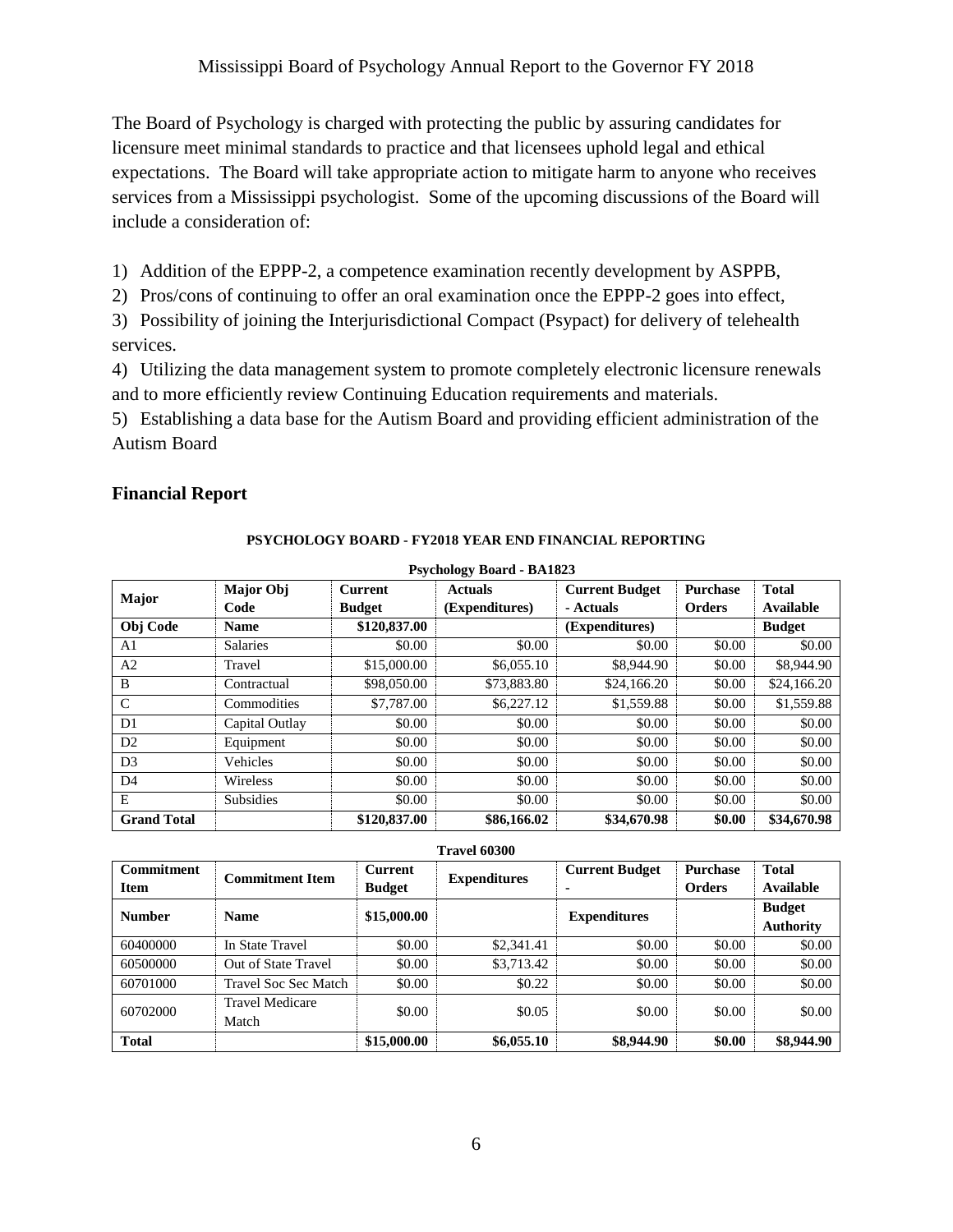The Board of Psychology is charged with protecting the public by assuring candidates for licensure meet minimal standards to practice and that licensees uphold legal and ethical expectations. The Board will take appropriate action to mitigate harm to anyone who receives services from a Mississippi psychologist. Some of the upcoming discussions of the Board will include a consideration of:

1) Addition of the EPPP-2, a competence examination recently development by ASPPB,

2) Pros/cons of continuing to offer an oral examination once the EPPP-2 goes into effect,

3) Possibility of joining the Interjurisdictional Compact (Psypact) for delivery of telehealth services.

4) Utilizing the data management system to promote completely electronic licensure renewals and to more efficiently review Continuing Education requirements and materials.

5) Establishing a data base for the Autism Board and providing efficient administration of the Autism Board

### **Financial Report**

#### **PSYCHOLOGY BOARD - FY2018 YEAR END FINANCIAL REPORTING**

| Psychology Board - BA1823 |                  |                |                |                       |                 |               |  |
|---------------------------|------------------|----------------|----------------|-----------------------|-----------------|---------------|--|
| Major                     | Major Obj        | <b>Current</b> | <b>Actuals</b> | <b>Current Budget</b> | <b>Purchase</b> | <b>Total</b>  |  |
|                           | Code             | <b>Budget</b>  | (Expenditures) | - Actuals             | <b>Orders</b>   | Available     |  |
| Obj Code                  | <b>Name</b>      | \$120,837.00   |                | (Expenditures)        |                 | <b>Budget</b> |  |
| A1                        | <b>Salaries</b>  | \$0.00         | \$0.00         | \$0.00                | \$0.00          | \$0.00        |  |
| A2                        | Travel           | \$15,000.00    | \$6,055.10     | \$8,944.90            | \$0.00          | \$8,944.90    |  |
| B                         | Contractual      | \$98,050.00    | \$73,883.80    | \$24,166.20           | \$0.00          | \$24,166.20   |  |
| $\mathcal{C}$             | Commodities      | \$7,787.00     | \$6,227.12     | \$1,559.88            | \$0.00          | \$1,559.88    |  |
| D <sub>1</sub>            | Capital Outlay   | \$0.00         | \$0.00         | \$0.00                | \$0.00          | \$0.00        |  |
| D2                        | Equipment        | \$0.00         | \$0.00         | \$0.00                | \$0.00          | \$0.00        |  |
| D <sub>3</sub>            | Vehicles         | \$0.00         | \$0.00         | \$0.00                | \$0.00          | \$0.00        |  |
| D <sub>4</sub>            | Wireless         | \$0.00         | \$0.00         | \$0.00                | \$0.00          | \$0.00        |  |
| E                         | <b>Subsidies</b> | \$0.00         | \$0.00         | \$0.00                | \$0.00          | \$0.00        |  |
| <b>Grand Total</b>        |                  | \$120,837.00   | \$86,166.02    | \$34,670.98           | \$0.00          | \$34,670.98   |  |

 **Psychology Board - BA1823** 

| <b>Commitment</b> | <b>Commitment Item</b>          | <b>Current</b> | Travel 60300'<br><b>Expenditures</b> | <b>Current Budget</b> | <b>Purchase</b> | <b>Total</b>                      |
|-------------------|---------------------------------|----------------|--------------------------------------|-----------------------|-----------------|-----------------------------------|
| <b>Item</b>       |                                 | <b>Budget</b>  |                                      | ۰                     | <b>Orders</b>   | Available                         |
| <b>Number</b>     | <b>Name</b>                     | \$15,000.00    |                                      | <b>Expenditures</b>   |                 | <b>Budget</b><br><b>Authority</b> |
| 60400000          | In State Travel                 | \$0.00         | \$2,341.41                           | \$0.00                | \$0.00          | \$0.00                            |
| 60500000          | Out of State Travel             | \$0.00         | \$3,713.42                           | \$0.00                | \$0.00          | \$0.00                            |
| 60701000          | <b>Travel Soc Sec Match</b>     | \$0.00         | \$0.22                               | \$0.00                | \$0.00          | \$0.00                            |
| 60702000          | <b>Travel Medicare</b><br>Match | \$0.00         | \$0.05                               | \$0.00                | \$0.00          | \$0.00                            |
| <b>Total</b>      |                                 | \$15,000.00    | \$6,055.10                           | \$8,944.90            | \$0.00          | \$8,944.90                        |

**Travel 60300**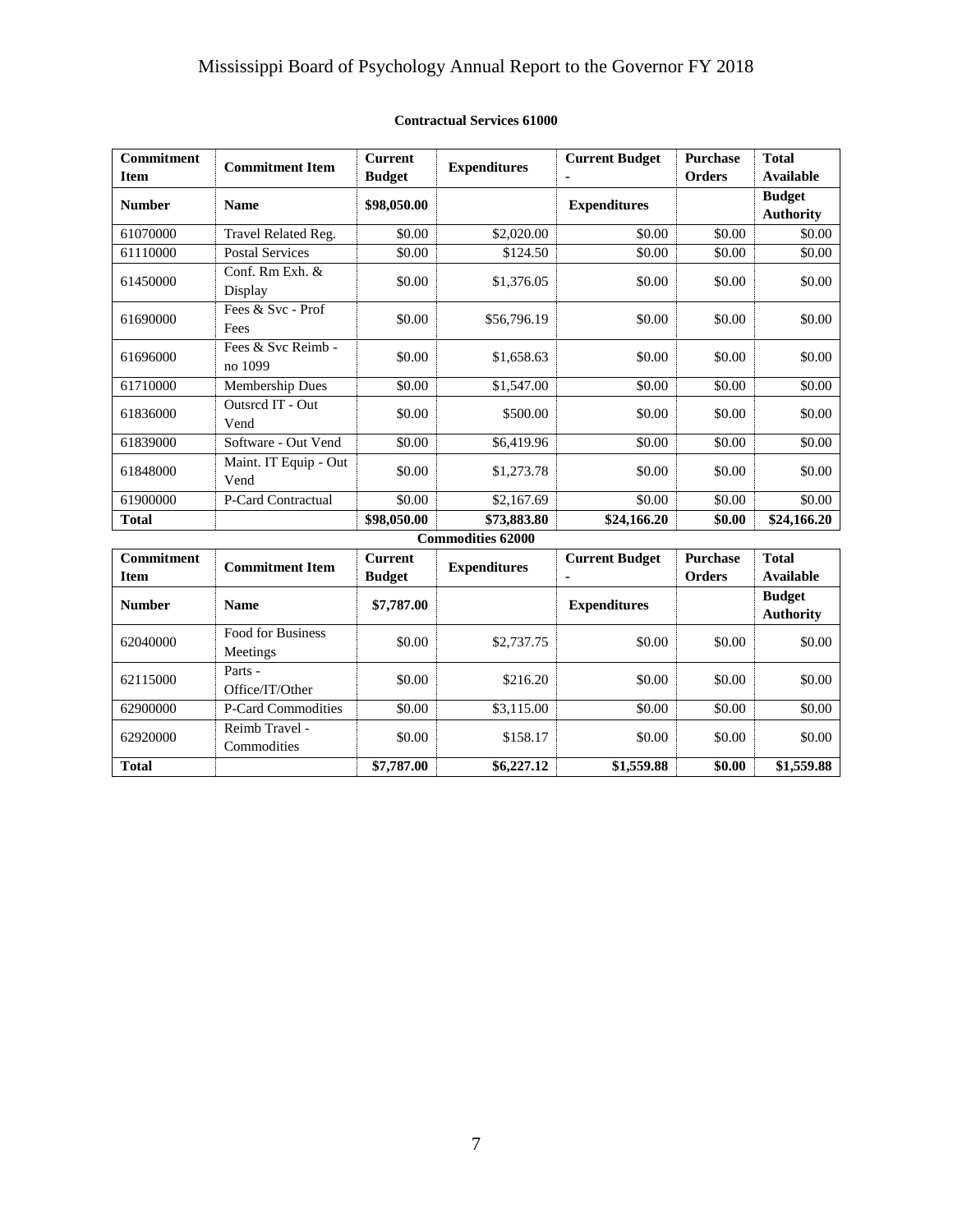# Mississippi Board of Psychology Annual Report to the Governor FY 2018

| <b>Commitment</b><br><b>Item</b> | <b>Commitment Item</b>          | <b>Current</b><br><b>Budget</b> | <b>Expenditures</b> | <b>Current Budget</b> | <b>Purchase</b><br><b>Orders</b> | <b>Total</b><br>Available         |  |
|----------------------------------|---------------------------------|---------------------------------|---------------------|-----------------------|----------------------------------|-----------------------------------|--|
| <b>Number</b>                    | <b>Name</b>                     | \$98,050.00                     |                     | <b>Expenditures</b>   |                                  | <b>Budget</b><br><b>Authority</b> |  |
| 61070000                         | Travel Related Reg.             | \$0.00                          | \$2,020.00          | \$0.00                | \$0.00                           | \$0.00                            |  |
| 61110000                         | <b>Postal Services</b>          | \$0.00                          | \$124.50            | \$0.00                | \$0.00                           | \$0.00                            |  |
| 61450000                         | Conf. Rm Exh. &<br>Display      | \$0.00                          | \$1,376.05          | \$0.00                | \$0.00                           | \$0.00                            |  |
| 61690000                         | Fees & Svc - Prof<br>Fees       | \$0.00                          | \$56,796.19         | \$0.00                | \$0.00                           | \$0.00                            |  |
| 61696000                         | Fees $&$ Syc Reimb -<br>no 1099 | \$0.00                          | \$1,658.63          | \$0.00                | \$0.00                           | \$0.00                            |  |
| 61710000                         | <b>Membership Dues</b>          | \$0.00                          | \$1,547.00          | \$0.00                | \$0.00                           | \$0.00                            |  |
| 61836000                         | Outsred IT - Out<br>Vend        | \$0.00                          | \$500.00            | \$0.00                | \$0.00                           | \$0.00                            |  |
| 61839000                         | Software - Out Vend             | \$0.00                          | \$6,419.96          | \$0.00                | \$0.00                           | \$0.00                            |  |
| 61848000                         | Maint. IT Equip - Out<br>Vend   | \$0.00                          | \$1,273.78          | \$0.00                | \$0.00                           | \$0.00                            |  |
| 61900000                         | P-Card Contractual              | \$0.00                          | \$2,167.69          | \$0.00                | \$0.00                           | \$0.00                            |  |
| <b>Total</b>                     |                                 | \$98,050.00                     | \$73,883.80         | \$24,166.20           | \$0.00                           | \$24,166.20                       |  |
| <b>Commodities 62000</b>         |                                 |                                 |                     |                       |                                  |                                   |  |

# **Contractual Services 61000**

| <b>Commitment</b><br><b>Item</b> | <b>Commitment Item</b>               | <b>Current</b><br><b>Budget</b> | <b>Expenditures</b> | <b>Current Budget</b><br>۰ | <b>Purchase</b><br><b>Orders</b> | <b>Total</b><br>Available         |
|----------------------------------|--------------------------------------|---------------------------------|---------------------|----------------------------|----------------------------------|-----------------------------------|
| <b>Number</b>                    | <b>Name</b>                          | \$7,787.00                      |                     | <b>Expenditures</b>        |                                  | <b>Budget</b><br><b>Authority</b> |
| 62040000                         | <b>Food for Business</b><br>Meetings | \$0.00                          | \$2,737.75          | \$0.00                     | \$0.00                           | \$0.00                            |
| 62115000                         | Parts -<br>Office/IT/Other           | \$0.00                          | \$216.20            | \$0.00                     | \$0.00                           | \$0.00                            |
| 62900000                         | P-Card Commodities                   | \$0.00                          | \$3,115.00          | \$0.00                     | \$0.00                           | \$0.00                            |
| 62920000                         | Reimb Travel -<br>Commodities        | \$0.00                          | \$158.17            | \$0.00                     | \$0.00                           | \$0.00                            |
| <b>Total</b>                     |                                      | \$7,787.00                      | \$6,227.12          | \$1,559.88                 | \$0.00                           | \$1,559.88                        |